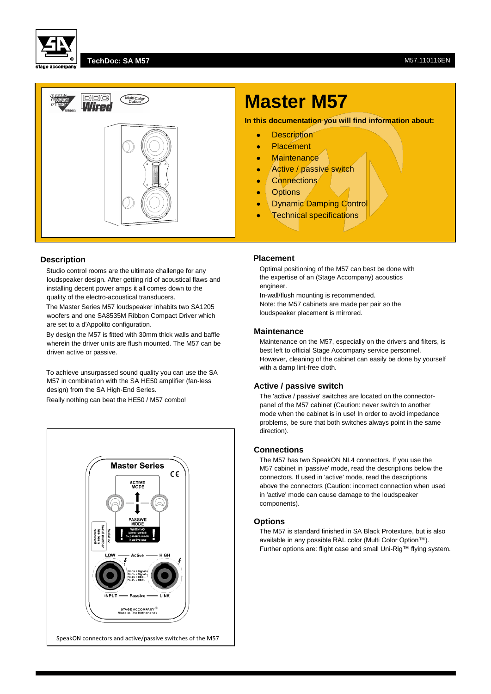

#### **TechDoc: SA M57** M57.110116EN



# **Description**

Studio control rooms are the ultimate challenge for any loudspeaker design. After getting rid of acoustical flaws and installing decent power amps it all comes down to the quality of the electro-acoustical transducers.

The Master Series M57 loudspeaker inhabits two SA1205 woofers and one SA8535M Ribbon Compact Driver which are set to a d'Appolito configuration.

By design the M57 is fitted with 30mm thick walls and baffle wherein the driver units are flush mounted. The M57 can be driven active or passive.

To achieve unsurpassed sound quality you can use the SA M57 in combination with the SA HE50 amplifier (fan-less design) from the SA High-End Series.

Really nothing can beat the HE50 / M57 combo!



# **Master M57**

**In this documentation you will find information about:**

- **•** Description
- Placement
- **•** Maintenance
- Active / passive switch
- Connections
- **•** Options
- **Dynamic Damping Control**
- **•** Technical specifications

#### **Placement**

Optimal positioning of the M57 can best be done with the expertise of an (Stage Accompany) acoustics engineer.

In-wall/flush mounting is recommended. Note: the M57 cabinets are made per pair so the loudspeaker placement is mirrored.

#### **Maintenance**

Maintenance on the M57, especially on the drivers and filters, is best left to official Stage Accompany service personnel. However, cleaning of the cabinet can easily be done by yourself with a damp lint-free cloth.

#### **Active / passive switch**

The 'active / passive' switches are located on the connectorpanel of the M57 cabinet (Caution: never switch to another mode when the cabinet is in use! In order to avoid impedance problems, be sure that both switches always point in the same direction).

## **Connections**

The M57 has two SpeakON NL4 connectors. If you use the M57 cabinet in 'passive' mode, read the descriptions below the connectors. If used in 'active' mode, read the descriptions above the connectors (Caution: incorrect connection when used in 'active' mode can cause damage to the loudspeaker components).

### **Options**

The M57 is standard finished in SA Black Protexture, but is also available in any possible RAL color (Multi Color Option™). Further options are: flight case and small Uni-Rig™ flying system.